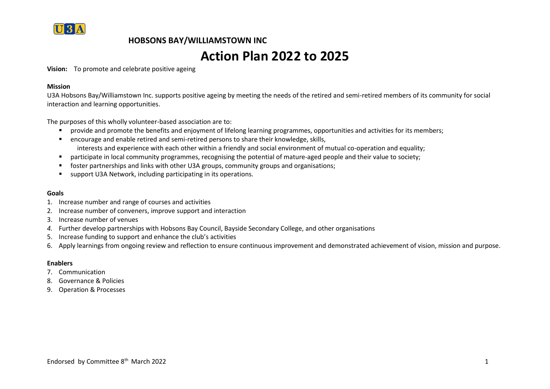

# **Action Plan 2022 to 2025**

**Vision:** To promote and celebrate positive ageing

#### **Mission**

U3A Hobsons Bay/Williamstown Inc. supports positive ageing by meeting the needs of the retired and semi-retired members of its community for social interaction and learning opportunities.

The purposes of this wholly volunteer-based association are to:

- provide and promote the benefits and enjoyment of lifelong learning programmes, opportunities and activities for its members;
- encourage and enable retired and semi-retired persons to share their knowledge, skills, interests and experience with each other within a friendly and social environment of mutual co-operation and equality;
- participate in local community programmes, recognising the potential of mature-aged people and their value to society;
- foster partnerships and links with other U3A groups, community groups and organisations;
- support U3A Network, including participating in its operations.

#### **Goals**

- 1. Increase number and range of courses and activities
- 2. Increase number of conveners, improve support and interaction
- 3. Increase number of venues
- *4.* Further develop partnerships with Hobsons Bay Council, Bayside Secondary College, and other organisations
- 5. Increase funding to support and enhance the club's activities
- 6. Apply learnings from ongoing review and reflection to ensure continuous improvement and demonstrated achievement of vision, mission and purpose.

#### **Enablers**

- 7. Communication
- 8. Governance & Policies
- 9. Operation & Processes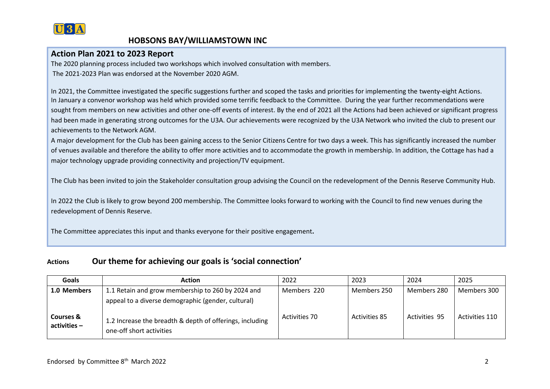

### **Action Plan 2021 to 2023 Report**

The 2020 planning process included two workshops which involved consultation with members. The 2021-2023 Plan was endorsed at the November 2020 AGM.

In 2021, the Committee investigated the specific suggestions further and scoped the tasks and priorities for implementing the twenty-eight Actions. In January a convenor workshop was held which provided some terrific feedback to the Committee. During the year further recommendations were sought from members on new activities and other one-off events of interest. By the end of 2021 all the Actions had been achieved or significant progress had been made in generating strong outcomes for the U3A. Our achievements were recognized by the U3A Network who invited the club to present our achievements to the Network AGM.

A major development for the Club has been gaining access to the Senior Citizens Centre for two days a week. This has significantly increased the number of venues available and therefore the ability to offer more activities and to accommodate the growth in membership. In addition, the Cottage has had a major technology upgrade providing connectivity and projection/TV equipment.

The Club has been invited to join the Stakeholder consultation group advising the Council on the redevelopment of the Dennis Reserve Community Hub.

In 2022 the Club is likely to grow beyond 200 membership. The Committee looks forward to working with the Council to find new venues during the redevelopment of Dennis Reserve.

The Committee appreciates this input and thanks everyone for their positive engagement**.**

### **Actions Our theme for achieving our goals is 'social connection'**

| Goals                                  | <b>Action</b>                                                                                           | 2022                 | 2023                 | 2024                 | 2025           |
|----------------------------------------|---------------------------------------------------------------------------------------------------------|----------------------|----------------------|----------------------|----------------|
| 1.0 Members                            | 1.1 Retain and grow membership to 260 by 2024 and<br>appeal to a diverse demographic (gender, cultural) | Members 220          | Members 250          | Members 280          | Members 300    |
| <b>Courses &amp;</b><br>$activities -$ | 1.2 Increase the breadth & depth of offerings, including<br>one-off short activities                    | <b>Activities 70</b> | <b>Activities 85</b> | <b>Activities 95</b> | Activities 110 |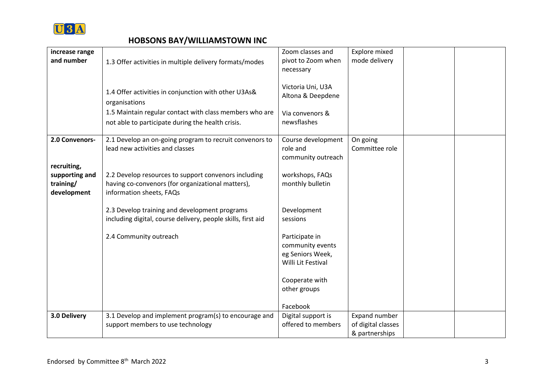

| increase range |                                                              | Zoom classes and                       | Explore mixed                        |  |
|----------------|--------------------------------------------------------------|----------------------------------------|--------------------------------------|--|
| and number     | 1.3 Offer activities in multiple delivery formats/modes      | pivot to Zoom when                     | mode delivery                        |  |
|                |                                                              | necessary                              |                                      |  |
|                | 1.4 Offer activities in conjunction with other U3As&         | Victoria Uni, U3A                      |                                      |  |
|                | organisations                                                | Altona & Deepdene                      |                                      |  |
|                | 1.5 Maintain regular contact with class members who are      | Via convenors &                        |                                      |  |
|                | not able to participate during the health crisis.            | newsflashes                            |                                      |  |
| 2.0 Convenors- | 2.1 Develop an on-going program to recruit convenors to      | Course development                     | On going                             |  |
|                | lead new activities and classes                              | role and                               | Committee role                       |  |
| recruiting,    |                                                              | community outreach                     |                                      |  |
| supporting and | 2.2 Develop resources to support convenors including         | workshops, FAQs                        |                                      |  |
| training/      | having co-convenors (for organizational matters),            | monthly bulletin                       |                                      |  |
| development    | information sheets, FAQs                                     |                                        |                                      |  |
|                | 2.3 Develop training and development programs                | Development                            |                                      |  |
|                | including digital, course delivery, people skills, first aid | sessions                               |                                      |  |
|                | 2.4 Community outreach                                       | Participate in                         |                                      |  |
|                |                                                              | community events                       |                                      |  |
|                |                                                              | eg Seniors Week,<br>Willi Lit Festival |                                      |  |
|                |                                                              |                                        |                                      |  |
|                |                                                              | Cooperate with                         |                                      |  |
|                |                                                              | other groups                           |                                      |  |
|                |                                                              | Facebook                               |                                      |  |
| 3.0 Delivery   | 3.1 Develop and implement program(s) to encourage and        | Digital support is                     | Expand number                        |  |
|                | support members to use technology                            | offered to members                     | of digital classes<br>& partnerships |  |
|                |                                                              |                                        |                                      |  |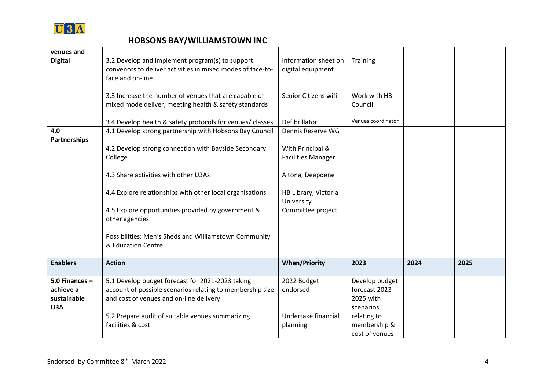

| venues and<br><b>Digital</b>                        | 3.2 Develop and implement program(s) to support<br>convenors to deliver activities in mixed modes of face-to-<br>face and on-line                        | Information sheet on<br>digital equipment     | <b>Training</b>                                            |      |      |
|-----------------------------------------------------|----------------------------------------------------------------------------------------------------------------------------------------------------------|-----------------------------------------------|------------------------------------------------------------|------|------|
|                                                     | 3.3 Increase the number of venues that are capable of<br>mixed mode deliver, meeting health & safety standards                                           | Senior Citizens wifi                          | Work with HB<br>Council                                    |      |      |
|                                                     | 3.4 Develop health & safety protocols for venues/ classes                                                                                                | Defibrillator                                 | Venues coordinator                                         |      |      |
| 4.0<br><b>Partnerships</b>                          | 4.1 Develop strong partnership with Hobsons Bay Council                                                                                                  | Dennis Reserve WG                             |                                                            |      |      |
|                                                     | 4.2 Develop strong connection with Bayside Secondary<br>College                                                                                          | With Principal &<br><b>Facilities Manager</b> |                                                            |      |      |
|                                                     | 4.3 Share activities with other U3As                                                                                                                     | Altona, Deepdene                              |                                                            |      |      |
|                                                     | 4.4 Explore relationships with other local organisations                                                                                                 | HB Library, Victoria<br>University            |                                                            |      |      |
|                                                     | 4.5 Explore opportunities provided by government &<br>other agencies                                                                                     | Committee project                             |                                                            |      |      |
|                                                     | Possibilities: Men's Sheds and Williamstown Community<br>& Education Centre                                                                              |                                               |                                                            |      |      |
| <b>Enablers</b>                                     | <b>Action</b>                                                                                                                                            | <b>When/Priority</b>                          | 2023                                                       | 2024 | 2025 |
| 5.0 Finances $-$<br>achieve a<br>sustainable<br>U3A | 5.1 Develop budget forecast for 2021-2023 taking<br>account of possible scenarios relating to membership size<br>and cost of venues and on-line delivery | 2022 Budget<br>endorsed                       | Develop budget<br>forecast 2023-<br>2025 with<br>scenarios |      |      |
|                                                     | 5.2 Prepare audit of suitable venues summarizing<br>facilities & cost                                                                                    | Undertake financial<br>planning               | relating to<br>membership &<br>cost of venues              |      |      |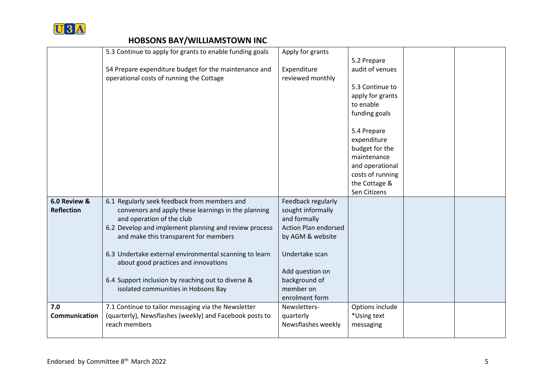

|                   | 5.3 Continue to apply for grants to enable funding goals                           | Apply for grants                            |                  |  |
|-------------------|------------------------------------------------------------------------------------|---------------------------------------------|------------------|--|
|                   |                                                                                    |                                             | 5.2 Prepare      |  |
|                   | 54 Prepare expenditure budget for the maintenance and                              | Expenditure                                 | audit of venues  |  |
|                   | operational costs of running the Cottage                                           | reviewed monthly                            |                  |  |
|                   |                                                                                    |                                             | 5.3 Continue to  |  |
|                   |                                                                                    |                                             | apply for grants |  |
|                   |                                                                                    |                                             | to enable        |  |
|                   |                                                                                    |                                             | funding goals    |  |
|                   |                                                                                    |                                             | 5.4 Prepare      |  |
|                   |                                                                                    |                                             | expenditure      |  |
|                   |                                                                                    |                                             | budget for the   |  |
|                   |                                                                                    |                                             | maintenance      |  |
|                   |                                                                                    |                                             | and operational  |  |
|                   |                                                                                    |                                             | costs of running |  |
|                   |                                                                                    |                                             | the Cottage &    |  |
|                   |                                                                                    |                                             | Sen Citizens     |  |
| 6.0 Review &      | 6.1 Regularly seek feedback from members and                                       | Feedback regularly                          |                  |  |
| <b>Reflection</b> | convenors and apply these learnings in the planning                                | sought informally                           |                  |  |
|                   | and operation of the club<br>6.2 Develop and implement planning and review process | and formally<br><b>Action Plan endorsed</b> |                  |  |
|                   | and make this transparent for members                                              | by AGM & website                            |                  |  |
|                   |                                                                                    |                                             |                  |  |
|                   | 6.3 Undertake external environmental scanning to learn                             | Undertake scan                              |                  |  |
|                   | about good practices and innovations                                               |                                             |                  |  |
|                   |                                                                                    | Add question on                             |                  |  |
|                   | 6.4 Support inclusion by reaching out to diverse &                                 | background of                               |                  |  |
|                   | isolated communities in Hobsons Bay                                                | member on                                   |                  |  |
|                   |                                                                                    | enrolment form                              |                  |  |
| 7.0               | 7.1 Continue to tailor messaging via the Newsletter                                | Newsletters-                                | Options include  |  |
| Communication     | (quarterly), Newsflashes (weekly) and Facebook posts to                            | quarterly                                   | *Using text      |  |
|                   | reach members                                                                      | Newsflashes weekly                          | messaging        |  |
|                   |                                                                                    |                                             |                  |  |